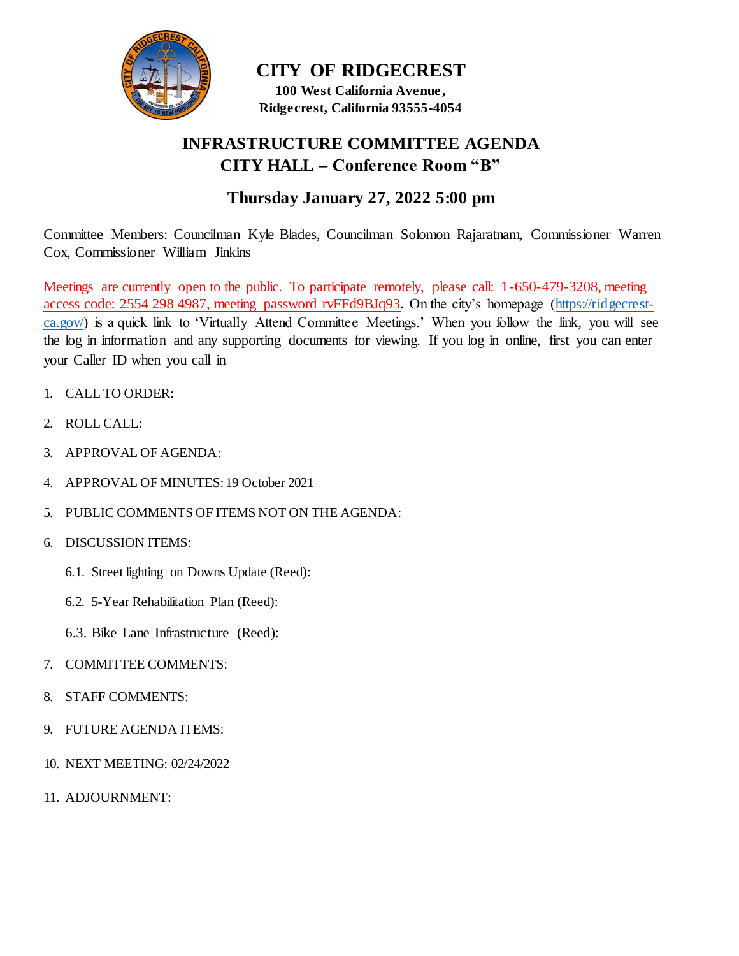

**CITY OF RIDGECREST 100 West California Avenue , Ridgecrest, California 93555-4054**

## **INFRASTRUCTURE COMMITTEE AGENDA CITY HALL – Conference Room "B"**

## **Thursday January 27, 2022 5:00 pm**

Committee Members: Councilman Kyle Blades, Councilman Solomon Rajaratnam, Commissioner Warren Cox, Commissioner William Jinkins

Meetings are currently open to the public. To participate remotely, please call: 1-650-479-3208, meeting access code: 2554 298 4987, meeting password rvFFd9BJq93**.** On the city's homepage [\(https://ridgecrest](https://ridgecrest-ca.gov/)[ca.gov/\)](https://ridgecrest-ca.gov/) is a quick link to 'Virtually Attend Committee Meetings.' When you follow the link, you will see the log in information and any supporting documents for viewing. If you log in online, first you can enter your Caller ID when you call in.

- 1. CALL TO ORDER:
- 2. ROLL CALL:
- 3. APPROVAL OF AGENDA:
- 4. APPROVAL OF MINUTES:19 October 2021
- 5. PUBLIC COMMENTS OF ITEMS NOT ON THE AGENDA:
- 6. DISCUSSION ITEMS:
	- 6.1. Street lighting on Downs Update (Reed):
	- 6.2. 5-Year Rehabilitation Plan (Reed):
	- 6.3. Bike Lane Infrastructure (Reed):
- 7. COMMITTEE COMMENTS:
- 8. STAFF COMMENTS:
- 9. FUTURE AGENDA ITEMS:
- 10. NEXT MEETING: 02/24/2022
- 11. ADJOURNMENT: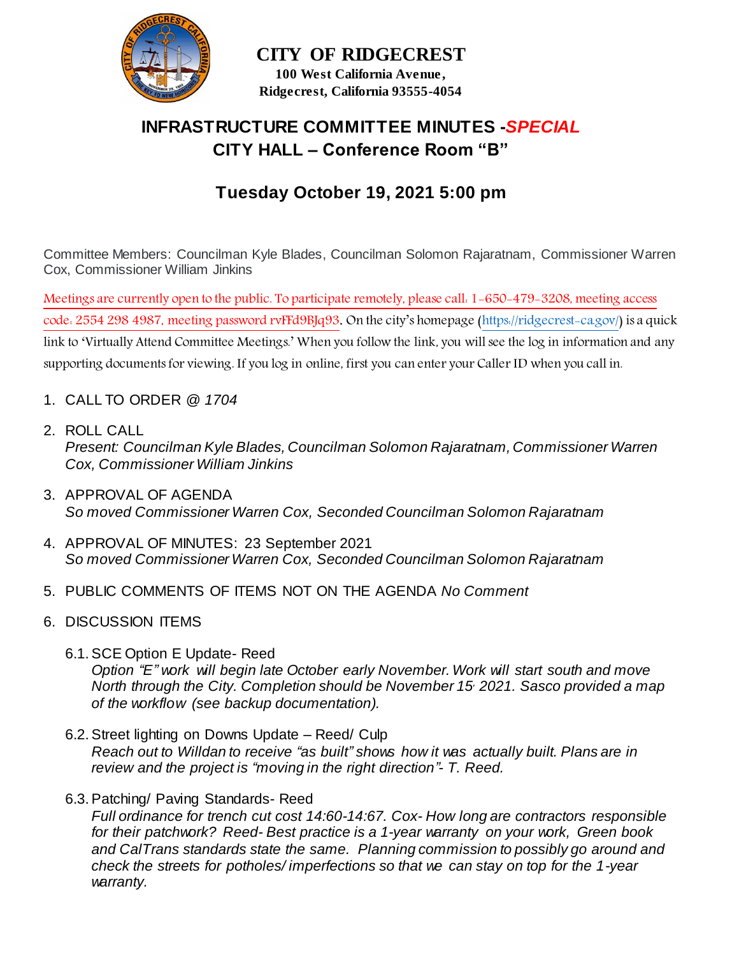

## **CITY OF RIDGECREST 100 West California Avenue ,**

**Ridgecrest, California 93555-4054**

# **INFRASTRUCTURE COMMITTEE MINUTES -***SPECIAL*  **CITY HALL – Conference Room "B"**

# **Tuesday October 19, 2021 5:00 pm**

Committee Members: Councilman Kyle Blades, Councilman Solomon Rajaratnam, Commissioner Warren Cox, Commissioner William Jinkins

Meetings are currently open to the public. To participate remotely, please call: 1-650-479-3208, meeting access code: 2554 298 4987, meeting password rvFFd9BJq93. On the city's homepage [\(https://ridgecrest-ca.gov/](https://ridgecrest-ca.gov/)) is a quick link to 'Virtually Attend Committee Meetings.' When you follow the link, you will see the log in information and any supporting documents for viewing. If you log in online, first you can enter your Caller ID when you call in.

- 1. CALL TO ORDER *@ 1704*
- 2. ROLL CALL *Present: Councilman Kyle Blades, Councilman Solomon Rajaratnam, Commissioner Warren Cox, Commissioner William Jinkins*
- 3. APPROVAL OF AGENDA *So moved Commissioner Warren Cox, Seconded Councilman Solomon Rajaratnam*
- 4. APPROVAL OF MINUTES: 23 September 2021 *So moved Commissioner Warren Cox, Seconded Councilman Solomon Rajaratnam*
- 5. PUBLIC COMMENTS OF ITEMS NOT ON THE AGENDA *No Comment*
- 6. DISCUSSION ITEMS
	- 6.1.SCE Option E Update- Reed *Option "E" work will begin late October early November. Work will start south and move North through the City. Completion should be November 15, 2021. Sasco provided a map of the workflow (see backup documentation).*
	- 6.2.Street lighting on Downs Update Reed/ Culp *Reach out to Willdan to receive "as built" shows how it was actually built. Plans are in review and the project is "moving in the right direction"- T. Reed.*
	- 6.3.Patching/ Paving Standards- Reed

*Full ordinance for trench cut cost 14:60-14:67. Cox- How long are contractors responsible for their patchwork? Reed- Best practice is a 1-year warranty on your work, Green book and CalTrans standards state the same. Planning commission to possibly go around and check the streets for potholes/ imperfections so that we can stay on top for the 1-year warranty.*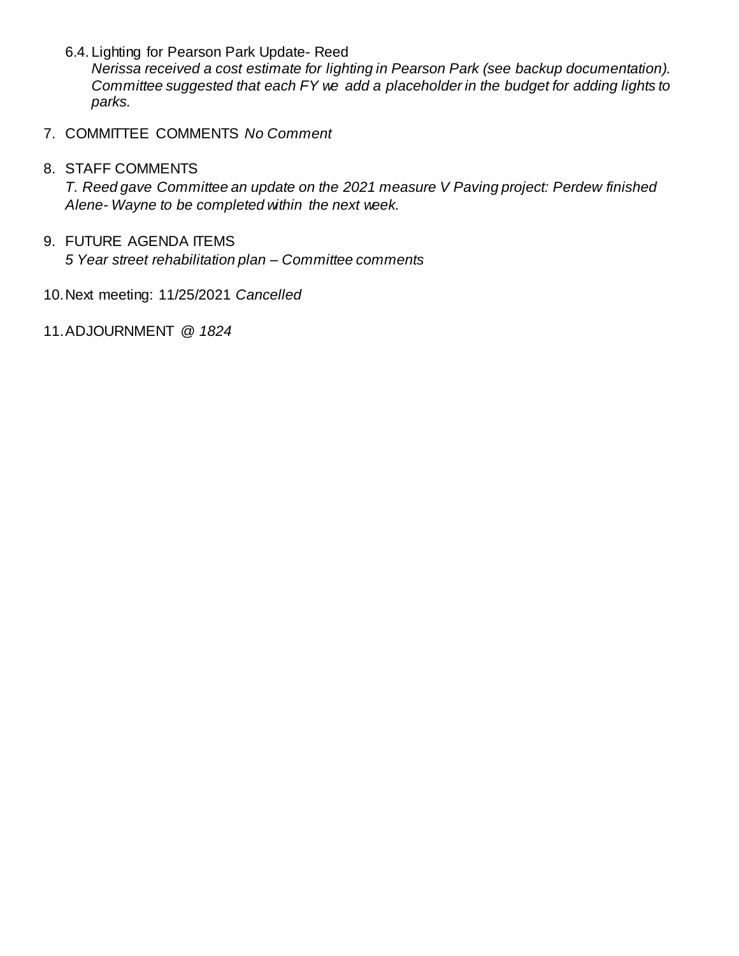6.4. Lighting for Pearson Park Update- Reed

*Nerissa received a cost estimate for lighting in Pearson Park (see backup documentation). Committee suggested that each FY we add a placeholder in the budget for adding lights to parks.* 

7. COMMITTEE COMMENTS *No Comment*

### 8. STAFF COMMENTS

*T. Reed gave Committee an update on the 2021 measure V Paving project: Perdew finished Alene- Wayne to be completed within the next week.*

#### 9. FUTURE AGENDA ITEMS

*5 Year street rehabilitation plan – Committee comments* 

- 10.Next meeting: 11/25/2021 *Cancelled*
- 11.ADJOURNMENT *@ 1824*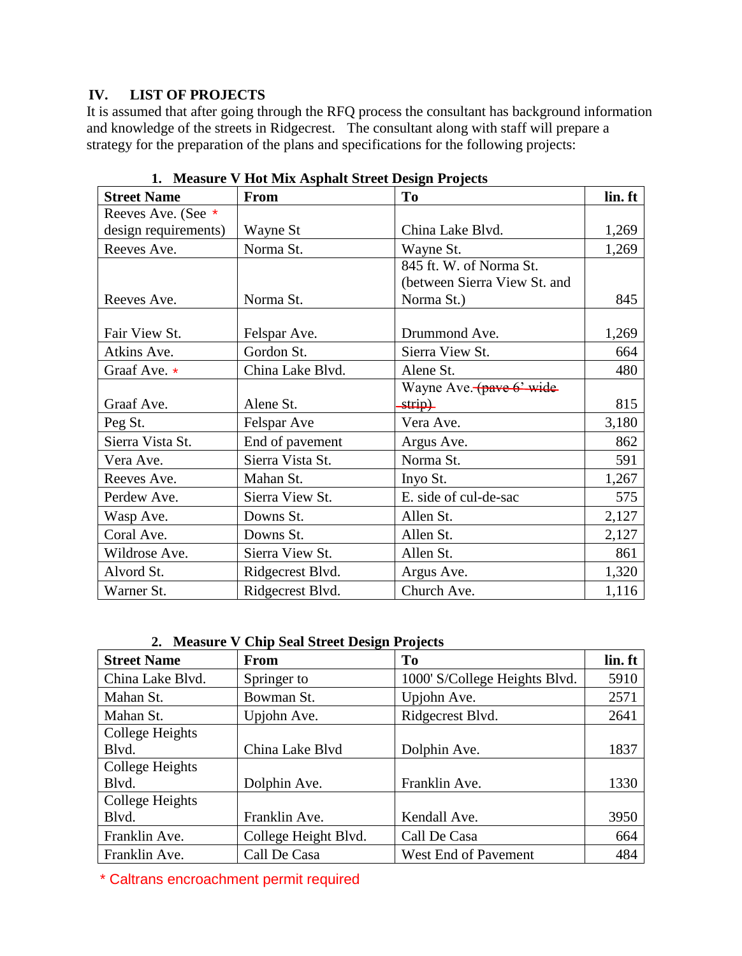### **IV. LIST OF PROJECTS**

It is assumed that after going through the RFQ process the consultant has background information and knowledge of the streets in Ridgecrest. The consultant along with staff will prepare a strategy for the preparation of the plans and specifications for the following projects:

| <b>Street Name</b>   | <b>From</b>      | To                           | lin. ft |
|----------------------|------------------|------------------------------|---------|
| Reeves Ave. (See *   |                  |                              |         |
| design requirements) | Wayne St         | China Lake Blvd.             | 1,269   |
| Reeves Ave.          | Norma St.        | Wayne St.                    | 1,269   |
|                      |                  | 845 ft. W. of Norma St.      |         |
|                      |                  | (between Sierra View St. and |         |
| Reeves Ave.          | Norma St.        | Norma St.)                   | 845     |
|                      |                  |                              |         |
| Fair View St.        | Felspar Ave.     | Drummond Ave.                | 1,269   |
| Atkins Ave.          | Gordon St.       | Sierra View St.              | 664     |
| Graaf Ave. *         | China Lake Blvd. | Alene St.                    | 480     |
|                      |                  | Wayne Ave. (pave 6' wide     |         |
| Graaf Ave.           | Alene St.        | strip)                       | 815     |
| Peg St.              | Felspar Ave      | Vera Ave.                    | 3,180   |
| Sierra Vista St.     | End of pavement  | Argus Ave.                   | 862     |
| Vera Ave.            | Sierra Vista St. | Norma St.                    | 591     |
| Reeves Ave.          | Mahan St.        | Inyo St.                     | 1,267   |
| Perdew Ave.          | Sierra View St.  | E. side of cul-de-sac        | 575     |
| Wasp Ave.            | Downs St.        | Allen St.                    | 2,127   |
| Coral Ave.           | Downs St.        | Allen St.                    | 2,127   |
| Wildrose Ave.        | Sierra View St.  | Allen St.                    | 861     |
| Alvord St.           | Ridgecrest Blvd. | Argus Ave.                   | 1,320   |
| Warner St.           | Ridgecrest Blvd. | Church Ave.                  | 1,116   |

**1. Measure V Hot Mix Asphalt Street Design Projects**

**2. Measure V Chip Seal Street Design Projects**

| <b>Street Name</b> | From                 | <b>To</b>                     | lin. ft |
|--------------------|----------------------|-------------------------------|---------|
| China Lake Blvd.   | Springer to          | 1000' S/College Heights Blvd. | 5910    |
| Mahan St.          | Bowman St.           | Upjohn Ave.                   | 2571    |
| Mahan St.          | Upjohn Ave.          | Ridgecrest Blvd.              | 2641    |
| College Heights    |                      |                               |         |
| Blvd.              | China Lake Blvd      | Dolphin Ave.                  | 1837    |
| College Heights    |                      |                               |         |
| Blvd.              | Dolphin Ave.         | Franklin Ave.                 | 1330    |
| College Heights    |                      |                               |         |
| Blvd.              | Franklin Ave.        | Kendall Ave.                  | 3950    |
| Franklin Ave.      | College Height Blvd. | Call De Casa                  | 664     |
| Franklin Ave.      | Call De Casa         | West End of Pavement          | 484     |

\* Caltrans encroachment permit required